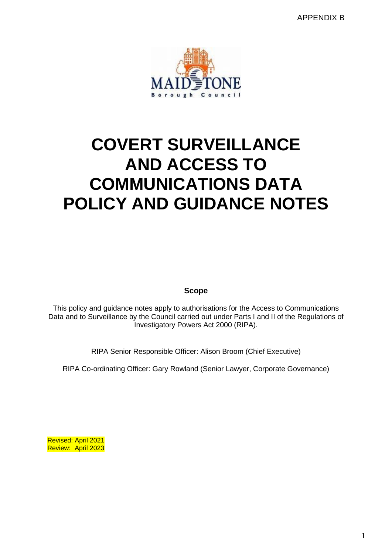APPENDIX B



# **COVERT SURVEILLANCE AND ACCESS TO COMMUNICATIONS DATA POLICY AND GUIDANCE NOTES**

**Scope**

This policy and guidance notes apply to authorisations for the Access to Communications Data and to Surveillance by the Council carried out under Parts I and II of the Regulations of Investigatory Powers Act 2000 (RIPA).

RIPA Senior Responsible Officer: Alison Broom (Chief Executive)

RIPA Co-ordinating Officer: Gary Rowland (Senior Lawyer, Corporate Governance)

Revised: April 2021 Review: April 2023

1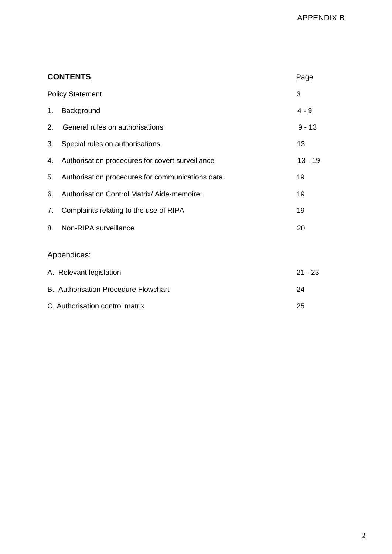| <b>CONTENTS</b>         |                                                  |          |  |
|-------------------------|--------------------------------------------------|----------|--|
| <b>Policy Statement</b> |                                                  |          |  |
| 1.                      | Background                                       | $4 - 9$  |  |
| 2.                      | General rules on authorisations                  | $9 - 13$ |  |
| 3.                      | Special rules on authorisations                  | 13       |  |
| 4.                      | Authorisation procedures for covert surveillance | 13 - 19  |  |
| 5.                      | Authorisation procedures for communications data | 19       |  |
| 6.                      | Authorisation Control Matrix/ Aide-memoire:      | 19       |  |
| 7.                      | Complaints relating to the use of RIPA           | 19       |  |
| 8.                      | Non-RIPA surveillance                            | 20       |  |
|                         |                                                  |          |  |

# Appendices:

| A. Relevant legislation                     | $21 - 23$ |
|---------------------------------------------|-----------|
| <b>B.</b> Authorisation Procedure Flowchart | 24        |
| C. Authorisation control matrix             | 25        |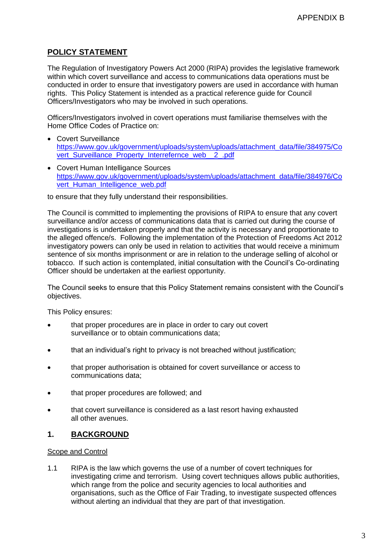# **POLICY STATEMENT**

The Regulation of Investigatory Powers Act 2000 (RIPA) provides the legislative framework within which covert surveillance and access to communications data operations must be conducted in order to ensure that investigatory powers are used in accordance with human rights. This Policy Statement is intended as a practical reference guide for Council Officers/Investigators who may be involved in such operations.

Officers/Investigators involved in covert operations must familiarise themselves with the Home Office Codes of Practice on:

- Covert Surveillance [https://www.gov.uk/government/uploads/system/uploads/attachment\\_data/file/384975/Co](https://www.gov.uk/government/uploads/system/uploads/attachment_data/file/384975/Covert_Surveillance_Property_Interrefernce_web__2_.pdf) [vert\\_Surveillance\\_Property\\_Interrefernce\\_web\\_\\_2\\_.pdf](https://www.gov.uk/government/uploads/system/uploads/attachment_data/file/384975/Covert_Surveillance_Property_Interrefernce_web__2_.pdf)
- Covert Human Intelligance Sources [https://www.gov.uk/government/uploads/system/uploads/attachment\\_data/file/384976/Co](https://www.gov.uk/government/uploads/system/uploads/attachment_data/file/384976/Covert_Human_Intelligence_web.pdf) [vert\\_Human\\_Intelligence\\_web.pdf](https://www.gov.uk/government/uploads/system/uploads/attachment_data/file/384976/Covert_Human_Intelligence_web.pdf)

to ensure that they fully understand their responsibilities.

The Council is committed to implementing the provisions of RIPA to ensure that any covert surveillance and/or access of communications data that is carried out during the course of investigations is undertaken properly and that the activity is necessary and proportionate to the alleged offence/s. Following the implementation of the Protection of Freedoms Act 2012 investigatory powers can only be used in relation to activities that would receive a minimum sentence of six months imprisonment or are in relation to the underage selling of alcohol or tobacco. If such action is contemplated, initial consultation with the Council's Co-ordinating Officer should be undertaken at the earliest opportunity.

The Council seeks to ensure that this Policy Statement remains consistent with the Council's objectives.

This Policy ensures:

- that proper procedures are in place in order to cary out covert surveillance or to obtain communications data;
- that an individual's right to privacy is not breached without justification;
- that proper authorisation is obtained for covert surveillance or access to communications data;
- that proper procedures are followed; and
- that covert surveillance is considered as a last resort having exhausted all other avenues.

# **1. BACKGROUND**

# Scope and Control

1.1 RIPA is the law which governs the use of a number of covert techniques for investigating crime and terrorism. Using covert techniques allows public authorities, which range from the police and security agencies to local authorities and organisations, such as the Office of Fair Trading, to investigate suspected offences without alerting an individual that they are part of that investigation.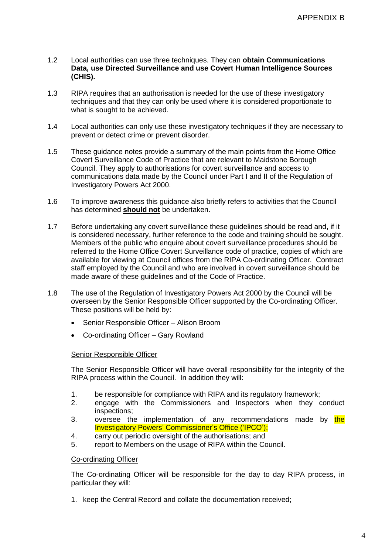- 1.2 Local authorities can use three techniques. They can **obtain Communications Data, use Directed Surveillance and use Covert Human Intelligence Sources (CHIS).**
- 1.3 RIPA requires that an authorisation is needed for the use of these investigatory techniques and that they can only be used where it is considered proportionate to what is sought to be achieved.
- 1.4 Local authorities can only use these investigatory techniques if they are necessary to prevent or detect crime or prevent disorder.
- 1.5 These guidance notes provide a summary of the main points from the Home Office Covert Surveillance Code of Practice that are relevant to Maidstone Borough Council. They apply to authorisations for covert surveillance and access to communications data made by the Council under Part I and II of the Regulation of Investigatory Powers Act 2000.
- 1.6 To improve awareness this guidance also briefly refers to activities that the Council has determined **should not** be undertaken.
- 1.7 Before undertaking any covert surveillance these guidelines should be read and, if it is considered necessary, further reference to the code and training should be sought. Members of the public who enquire about covert surveillance procedures should be referred to the Home Office Covert Surveillance code of practice, copies of which are available for viewing at Council offices from the RIPA Co-ordinating Officer. Contract staff employed by the Council and who are involved in covert surveillance should be made aware of these guidelines and of the Code of Practice.
- 1.8 The use of the Regulation of Investigatory Powers Act 2000 by the Council will be overseen by the Senior Responsible Officer supported by the Co-ordinating Officer. These positions will be held by:
	- Senior Responsible Officer Alison Broom
	- Co-ordinating Officer Gary Rowland

## Senior Responsible Officer

The Senior Responsible Officer will have overall responsibility for the integrity of the RIPA process within the Council. In addition they will:

- 1. be responsible for compliance with RIPA and its regulatory framework;
- 2. engage with the Commissioners and Inspectors when they conduct inspections;
- 3. oversee the implementation of any recommendations made by the Investigatory Powers' Commissioner's Office ('IPCO');
- 4. carry out periodic oversight of the authorisations; and
- 5. report to Members on the usage of RIPA within the Council.

## Co-ordinating Officer

The Co-ordinating Officer will be responsible for the day to day RIPA process, in particular they will:

1. keep the Central Record and collate the documentation received;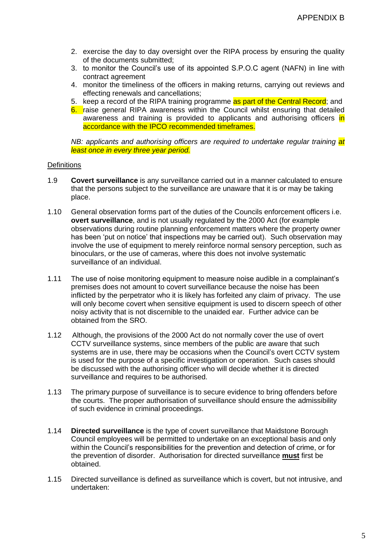- 2. exercise the day to day oversight over the RIPA process by ensuring the quality of the documents submitted;
- 3. to monitor the Council's use of its appointed S.P.O.C agent (NAFN) in line with contract agreement
- 4. monitor the timeliness of the officers in making returns, carrying out reviews and effecting renewals and cancellations;
- 5. keep a record of the RIPA training programme as part of the Central Record; and
- 6. raise general RIPA awareness within the Council whilst ensuring that detailed awareness and training is provided to applicants and authorising officers in accordance with the IPCO recommended timeframes.

*NB: applicants and authorising officers are required to undertake regular training at least once in every three year period.*

## **Definitions**

- 1.9 **Covert surveillance** is any surveillance carried out in a manner calculated to ensure that the persons subject to the surveillance are unaware that it is or may be taking place.
- 1.10 General observation forms part of the duties of the Councils enforcement officers i.e. **overt surveillance**, and is not usually regulated by the 2000 Act (for example observations during routine planning enforcement matters where the property owner has been 'put on notice' that inspections may be carried out). Such observation may involve the use of equipment to merely reinforce normal sensory perception, such as binoculars, or the use of cameras, where this does not involve systematic surveillance of an individual.
- 1.11 The use of noise monitoring equipment to measure noise audible in a complainant's premises does not amount to covert surveillance because the noise has been inflicted by the perpetrator who it is likely has forfeited any claim of privacy. The use will only become covert when sensitive equipment is used to discern speech of other noisy activity that is not discernible to the unaided ear. Further advice can be obtained from the SRO.
- 1.12 Although, the provisions of the 2000 Act do not normally cover the use of overt CCTV surveillance systems, since members of the public are aware that such systems are in use, there may be occasions when the Council's overt CCTV system is used for the purpose of a specific investigation or operation. Such cases should be discussed with the authorising officer who will decide whether it is directed surveillance and requires to be authorised.
- 1.13 The primary purpose of surveillance is to secure evidence to bring offenders before the courts. The proper authorisation of surveillance should ensure the admissibility of such evidence in criminal proceedings.
- 1.14 **Directed surveillance** is the type of covert surveillance that Maidstone Borough Council employees will be permitted to undertake on an exceptional basis and only within the Council's responsibilities for the prevention and detection of crime, or for the prevention of disorder. Authorisation for directed surveillance **must** first be obtained.
- 1.15 Directed surveillance is defined as surveillance which is covert, but not intrusive, and undertaken: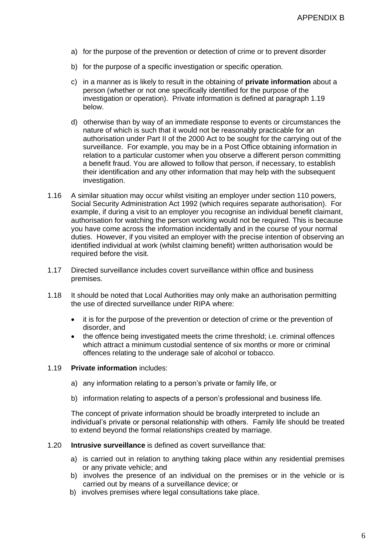- a) for the purpose of the prevention or detection of crime or to prevent disorder
- b) for the purpose of a specific investigation or specific operation.
- c) in a manner as is likely to result in the obtaining of **private information** about a person (whether or not one specifically identified for the purpose of the investigation or operation). Private information is defined at paragraph 1.19 below.
- d) otherwise than by way of an immediate response to events or circumstances the nature of which is such that it would not be reasonably practicable for an authorisation under Part II of the 2000 Act to be sought for the carrying out of the surveillance. For example, you may be in a Post Office obtaining information in relation to a particular customer when you observe a different person committing a benefit fraud. You are allowed to follow that person, if necessary, to establish their identification and any other information that may help with the subsequent investigation.
- 1.16 A similar situation may occur whilst visiting an employer under section 110 powers, Social Security Administration Act 1992 (which requires separate authorisation). For example, if during a visit to an employer you recognise an individual benefit claimant, authorisation for watching the person working would not be required. This is because you have come across the information incidentally and in the course of your normal duties. However, if you visited an employer with the precise intention of observing an identified individual at work (whilst claiming benefit) written authorisation would be required before the visit.
- 1.17 Directed surveillance includes covert surveillance within office and business premises.
- 1.18 It should be noted that Local Authorities may only make an authorisation permitting the use of directed surveillance under RIPA where:
	- it is for the purpose of the prevention or detection of crime or the prevention of disorder, and
	- the offence being investigated meets the crime threshold; i.e. criminal offences which attract a minimum custodial sentence of six months or more or criminal offences relating to the underage sale of alcohol or tobacco.

#### 1.19 **Private information** includes:

- a) any information relating to a person's private or family life, or
- b) information relating to aspects of a person's professional and business life.

The concept of private information should be broadly interpreted to include an individual's private or personal relationship with others. Family life should be treated to extend beyond the formal relationships created by marriage.

#### 1.20 **Intrusive surveillance** is defined as covert surveillance that:

- a) is carried out in relation to anything taking place within any residential premises or any private vehicle; and
- b) involves the presence of an individual on the premises or in the vehicle or is carried out by means of a surveillance device; or
- b) involves premises where legal consultations take place.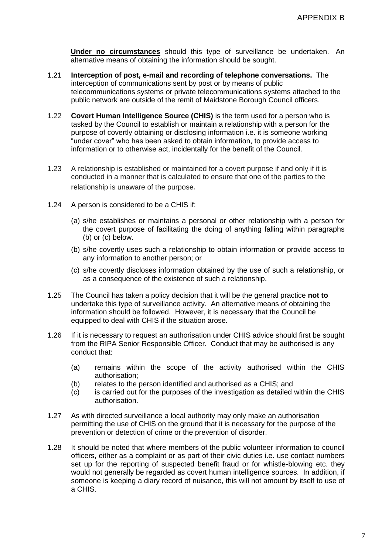**Under no circumstances** should this type of surveillance be undertaken. An alternative means of obtaining the information should be sought.

- 1.21 **Interception of post, e-mail and recording of telephone conversations.** The interception of communications sent by post or by means of public telecommunications systems or private telecommunications systems attached to the public network are outside of the remit of Maidstone Borough Council officers.
- 1.22 **Covert Human Intelligence Source (CHIS)** is the term used for a person who is tasked by the Council to establish or maintain a relationship with a person for the purpose of covertly obtaining or disclosing information i.e. it is someone working "under cover" who has been asked to obtain information, to provide access to information or to otherwise act, incidentally for the benefit of the Council.
- 1.23 A relationship is established or maintained for a covert purpose if and only if it is conducted in a manner that is calculated to ensure that one of the parties to the relationship is unaware of the purpose.
- 1.24 A person is considered to be a CHIS if:
	- (a) s/he establishes or maintains a personal or other relationship with a person for the covert purpose of facilitating the doing of anything falling within paragraphs (b) or (c) below.
	- (b) s/he covertly uses such a relationship to obtain information or provide access to any information to another person; or
	- (c) s/he covertly discloses information obtained by the use of such a relationship, or as a consequence of the existence of such a relationship.
- 1.25 The Council has taken a policy decision that it will be the general practice **not to** undertake this type of surveillance activity. An alternative means of obtaining the information should be followed. However, it is necessary that the Council be equipped to deal with CHIS if the situation arose.
- 1.26 If it is necessary to request an authorisation under CHIS advice should first be sought from the RIPA Senior Responsible Officer. Conduct that may be authorised is any conduct that:
	- (a) remains within the scope of the activity authorised within the CHIS authorisation;
	- (b) relates to the person identified and authorised as a CHIS; and
	- $(c)$  is carried out for the purposes of the investigation as detailed within the CHIS authorisation.
- 1.27 As with directed surveillance a local authority may only make an authorisation permitting the use of CHIS on the ground that it is necessary for the purpose of the prevention or detection of crime or the prevention of disorder.
- 1.28 It should be noted that where members of the public volunteer information to council officers, either as a complaint or as part of their civic duties i.e. use contact numbers set up for the reporting of suspected benefit fraud or for whistle-blowing etc. they would not generally be regarded as covert human intelligence sources. In addition, if someone is keeping a diary record of nuisance, this will not amount by itself to use of a CHIS.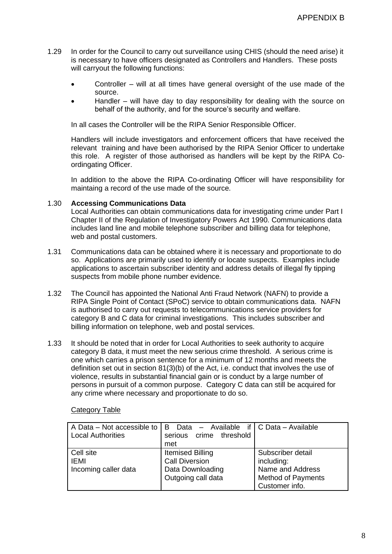- 1.29 In order for the Council to carry out surveillance using CHIS (should the need arise) it is necessary to have officers designated as Controllers and Handlers. These posts will carryout the following functions:
	- Controller will at all times have general oversight of the use made of the source.
	- Handler will have day to day responsibility for dealing with the source on behalf of the authority, and for the source's security and welfare.

In all cases the Controller will be the RIPA Senior Responsible Officer.

Handlers will include investigators and enforcement officers that have received the relevant training and have been authorised by the RIPA Senior Officer to undertake this role. A register of those authorised as handlers will be kept by the RIPA Coordingating Officer.

In addition to the above the RIPA Co-ordinating Officer will have responsibility for maintaing a record of the use made of the source.

# 1.30 **Accessing Communications Data**

Local Authorities can obtain communications data for investigating crime under Part I Chapter II of the Regulation of Investigatory Powers Act 1990. Communications data includes land line and mobile telephone subscriber and billing data for telephone, web and postal customers.

- 1.31 Communications data can be obtained where it is necessary and proportionate to do so. Applications are primarily used to identify or locate suspects. Examples include applications to ascertain subscriber identity and address details of illegal fly tipping suspects from mobile phone number evidence.
- 1.32 The Council has appointed the National Anti Fraud Network (NAFN) to provide a RIPA Single Point of Contact (SPoC) service to obtain communications data. NAFN is authorised to carry out requests to telecommunications service providers for category B and C data for criminal investigations. This includes subscriber and billing information on telephone, web and postal services.
- 1.33 It should be noted that in order for Local Authorities to seek authority to acquire category B data, it must meet the new serious crime threshold. A serious crime is one which carries a prison sentence for a minimum of 12 months and meets the definition set out in section 81(3)(b) of the Act, i.e. conduct that involves the use of violence, results in substantial financial gain or is conduct by a large number of persons in pursuit of a common purpose. Category C data can still be acquired for any crime where necessary and proportionate to do so.

| A Data – Not accessible to $ B $<br><b>Local Authorities</b> | Data – Available if $\mathsf{C}$ Data – Available<br>serious crime threshold<br>met        |                                                                                                    |
|--------------------------------------------------------------|--------------------------------------------------------------------------------------------|----------------------------------------------------------------------------------------------------|
| Cell site<br><b>IEMI</b><br>Incoming caller data             | <b>Itemised Billing</b><br><b>Call Diversion</b><br>Data Downloading<br>Outgoing call data | Subscriber detail<br>including:<br>Name and Address<br><b>Method of Payments</b><br>Customer info. |

## Category Table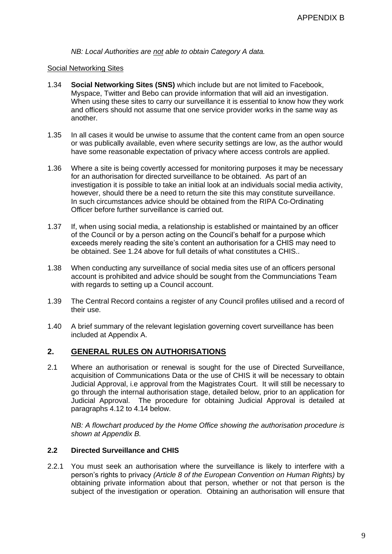*NB: Local Authorities are not able to obtain Category A data.*

#### Social Networking Sites

- 1.34 **Social Networking Sites (SNS)** which include but are not limited to Facebook, Myspace, Twitter and Bebo can provide information that will aid an investigation. When using these sites to carry our surveillance it is essential to know how they work and officers should not assume that one service provider works in the same way as another.
- 1.35 In all cases it would be unwise to assume that the content came from an open source or was publically available, even where security settings are low, as the author would have some reasonable expectation of privacy where access controls are applied.
- 1.36 Where a site is being covertly accessed for monitoring purposes it may be necessary for an authorisation for directed surveillance to be obtained. As part of an investigation it is possible to take an initial look at an individuals social media activity, however, should there be a need to return the site this may constitute surveillance. In such circumstances advice should be obtained from the RIPA Co-Ordinating Officer before further surveillance is carried out.
- 1.37 If, when using social media, a relationship is established or maintained by an officer of the Council or by a person acting on the Council's behalf for a purpose which exceeds merely reading the site's content an authorisation for a CHIS may need to be obtained. See 1.24 above for full details of what constitutes a CHIS..
- 1.38 When conducting any surveillance of social media sites use of an officers personal account is prohibited and advice should be sought from the Communciations Team with regards to setting up a Council account.
- 1.39 The Central Record contains a register of any Council profiles utilised and a record of their use.
- 1.40 A brief summary of the relevant legislation governing covert surveillance has been included at Appendix A.

# **2. GENERAL RULES ON AUTHORISATIONS**

2.1 Where an authorisation or renewal is sought for the use of Directed Surveillance, acquisition of Communications Data or the use of CHIS it will be necessary to obtain Judicial Approval, i.e approval from the Magistrates Court. It will still be necessary to go through the internal authorisation stage, detailed below, prior to an application for Judicial Approval. The procedure for obtaining Judicial Approval is detailed at paragraphs 4.12 to 4.14 below.

*NB: A flowchart produced by the Home Office showing the authorisation procedure is shown at Appendix B.*

# **2.2 Directed Surveillance and CHIS**

2.2.1 You must seek an authorisation where the surveillance is likely to interfere with a person's rights to privacy *(Article 8 of the European Convention on Human Rights)* by obtaining private information about that person, whether or not that person is the subject of the investigation or operation. Obtaining an authorisation will ensure that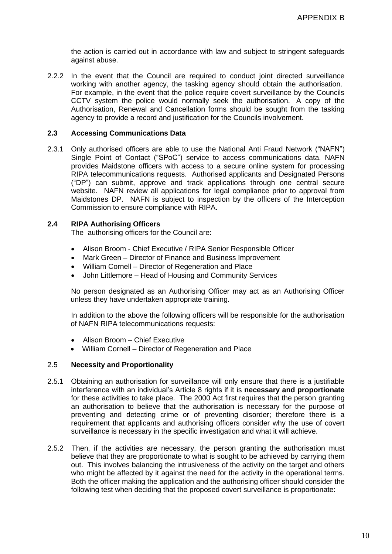the action is carried out in accordance with law and subject to stringent safeguards against abuse.

2.2.2 In the event that the Council are required to conduct joint directed surveillance working with another agency, the tasking agency should obtain the authorisation. For example, in the event that the police require covert surveillance by the Councils CCTV system the police would normally seek the authorisation. A copy of the Authorisation, Renewal and Cancellation forms should be sought from the tasking agency to provide a record and justification for the Councils involvement.

## **2.3 Accessing Communications Data**

2.3.1 Only authorised officers are able to use the National Anti Fraud Network ("NAFN") Single Point of Contact ("SPoC") service to access communications data. NAFN provides Maidstone officers with access to a secure online system for processing RIPA telecommunications requests. Authorised applicants and Designated Persons ("DP") can submit, approve and track applications through one central secure website. NAFN review all applications for legal compliance prior to approval from Maidstones DP. NAFN is subject to inspection by the officers of the Interception Commission to ensure compliance with RIPA.

# **2.4 RIPA Authorising Officers**

The authorising officers for the Council are:

- Alison Broom Chief Executive / RIPA Senior Responsible Officer
- Mark Green Director of Finance and Business Improvement
- William Cornell Director of Regeneration and Place
- John Littlemore Head of Housing and Community Services

No person designated as an Authorising Officer may act as an Authorising Officer unless they have undertaken appropriate training.

In addition to the above the following officers will be responsible for the authorisation of NAFN RIPA telecommunications requests:

- Alison Broom Chief Executive
- William Cornell Director of Regeneration and Place

## 2.5 **Necessity and Proportionality**

- 2.5.1 Obtaining an authorisation for surveillance will only ensure that there is a justifiable interference with an individual's Article 8 rights if it is **necessary and proportionate** for these activities to take place. The 2000 Act first requires that the person granting an authorisation to believe that the authorisation is necessary for the purpose of preventing and detecting crime or of preventing disorder; therefore there is a requirement that applicants and authorising officers consider why the use of covert surveillance is necessary in the specific investigation and what it will achieve.
- 2.5.2 Then, if the activities are necessary, the person granting the authorisation must believe that they are proportionate to what is sought to be achieved by carrying them out. This involves balancing the intrusiveness of the activity on the target and others who might be affected by it against the need for the activity in the operational terms. Both the officer making the application and the authorising officer should consider the following test when deciding that the proposed covert surveillance is proportionate: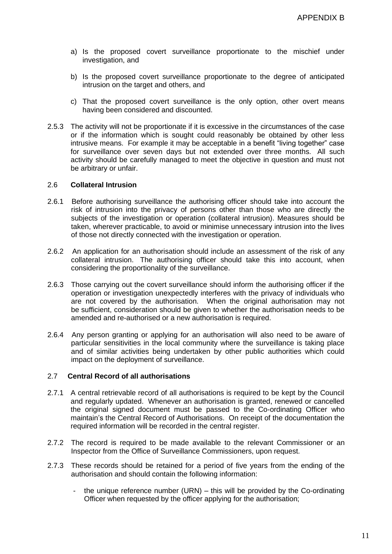- a) Is the proposed covert surveillance proportionate to the mischief under investigation, and
- b) Is the proposed covert surveillance proportionate to the degree of anticipated intrusion on the target and others, and
- c) That the proposed covert surveillance is the only option, other overt means having been considered and discounted.
- 2.5.3 The activity will not be proportionate if it is excessive in the circumstances of the case or if the information which is sought could reasonably be obtained by other less intrusive means. For example it may be acceptable in a benefit "living together" case for surveillance over seven days but not extended over three months. All such activity should be carefully managed to meet the objective in question and must not be arbitrary or unfair.

# 2.6 **Collateral Intrusion**

- 2.6.1 Before authorising surveillance the authorising officer should take into account the risk of intrusion into the privacy of persons other than those who are directly the subjects of the investigation or operation (collateral intrusion). Measures should be taken, wherever practicable, to avoid or minimise unnecessary intrusion into the lives of those not directly connected with the investigation or operation.
- 2.6.2 An application for an authorisation should include an assessment of the risk of any collateral intrusion. The authorising officer should take this into account, when considering the proportionality of the surveillance.
- 2.6.3 Those carrying out the covert surveillance should inform the authorising officer if the operation or investigation unexpectedly interferes with the privacy of individuals who are not covered by the authorisation. When the original authorisation may not be sufficient, consideration should be given to whether the authorisation needs to be amended and re-authorised or a new authorisation is required.
- 2.6.4 Any person granting or applying for an authorisation will also need to be aware of particular sensitivities in the local community where the surveillance is taking place and of similar activities being undertaken by other public authorities which could impact on the deployment of surveillance.

## 2.7 **Central Record of all authorisations**

- 2.7.1 A central retrievable record of all authorisations is required to be kept by the Council and regularly updated. Whenever an authorisation is granted, renewed or cancelled the original signed document must be passed to the Co-ordinating Officer who maintain's the Central Record of Authorisations. On receipt of the documentation the required information will be recorded in the central register.
- 2.7.2 The record is required to be made available to the relevant Commissioner or an Inspector from the Office of Surveillance Commissioners, upon request.
- 2.7.3 These records should be retained for a period of five years from the ending of the authorisation and should contain the following information:
	- the unique reference number  $(URN)$  this will be provided by the Co-ordinating Officer when requested by the officer applying for the authorisation;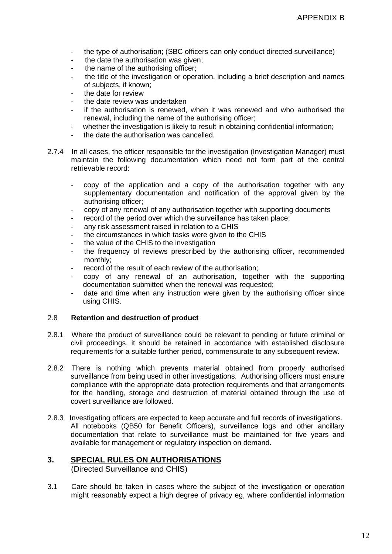- the type of authorisation; (SBC officers can only conduct directed surveillance)
- the date the authorisation was given;
- the name of the authorising officer;
- the title of the investigation or operation, including a brief description and names of subjects, if known;
- the date for review
- the date review was undertaken
- if the authorisation is renewed, when it was renewed and who authorised the renewal, including the name of the authorising officer;
- whether the investigation is likely to result in obtaining confidential information;
- the date the authorisation was cancelled.
- 2.7.4 In all cases, the officer responsible for the investigation (Investigation Manager) must maintain the following documentation which need not form part of the central retrievable record:
	- copy of the application and a copy of the authorisation together with any supplementary documentation and notification of the approval given by the authorising officer;
	- copy of any renewal of any authorisation together with supporting documents
	- record of the period over which the surveillance has taken place;
	- any risk assessment raised in relation to a CHIS
	- the circumstances in which tasks were given to the CHIS
	- the value of the CHIS to the investigation
	- the frequency of reviews prescribed by the authorising officer, recommended monthly;
	- record of the result of each review of the authorisation;
	- copy of any renewal of an authorisation, together with the supporting documentation submitted when the renewal was requested;
	- date and time when any instruction were given by the authorising officer since using CHIS.

## 2.8 **Retention and destruction of product**

- 2.8.1 Where the product of surveillance could be relevant to pending or future criminal or civil proceedings, it should be retained in accordance with established disclosure requirements for a suitable further period, commensurate to any subsequent review.
- 2.8.2 There is nothing which prevents material obtained from properly authorised surveillance from being used in other investigations. Authorising officers must ensure compliance with the appropriate data protection requirements and that arrangements for the handling, storage and destruction of material obtained through the use of covert surveillance are followed.
- 2.8.3 Investigating officers are expected to keep accurate and full records of investigations. All notebooks (QB50 for Benefit Officers), surveillance logs and other ancillary documentation that relate to surveillance must be maintained for five years and available for management or regulatory inspection on demand.

# **3. SPECIAL RULES ON AUTHORISATIONS**

(Directed Surveillance and CHIS)

3.1 Care should be taken in cases where the subject of the investigation or operation might reasonably expect a high degree of privacy eg, where confidential information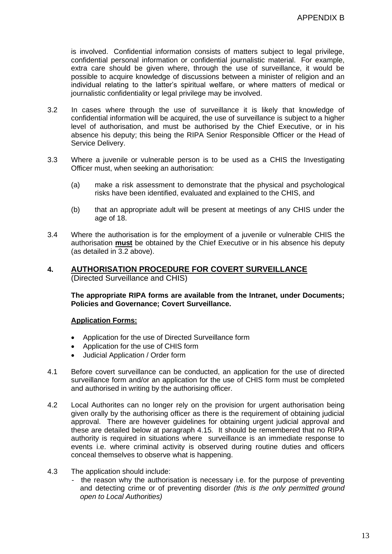is involved. Confidential information consists of matters subject to legal privilege, confidential personal information or confidential journalistic material. For example, extra care should be given where, through the use of surveillance, it would be possible to acquire knowledge of discussions between a minister of religion and an individual relating to the latter's spiritual welfare, or where matters of medical or journalistic confidentiality or legal privilege may be involved.

- 3.2 In cases where through the use of surveillance it is likely that knowledge of confidential information will be acquired, the use of surveillance is subject to a higher level of authorisation, and must be authorised by the Chief Executive, or in his absence his deputy; this being the RIPA Senior Responsible Officer or the Head of Service Delivery.
- 3.3 Where a juvenile or vulnerable person is to be used as a CHIS the Investigating Officer must, when seeking an authorisation:
	- (a) make a risk assessment to demonstrate that the physical and psychological risks have been identified, evaluated and explained to the CHIS, and
	- (b) that an appropriate adult will be present at meetings of any CHIS under the age of 18.
- 3.4 Where the authorisation is for the employment of a juvenile or vulnerable CHIS the authorisation **must** be obtained by the Chief Executive or in his absence his deputy (as detailed in 3.2 above).

# **4. AUTHORISATION PROCEDURE FOR COVERT SURVEILLANCE** (Directed Surveillance and CHIS)

**The appropriate RIPA forms are available from the Intranet, under Documents; Policies and Governance; Covert Surveillance.**

# **Application Forms:**

- Application for the use of Directed Surveillance form
- Application for the use of CHIS form
- Judicial Application / Order form
- 4.1 Before covert surveillance can be conducted, an application for the use of directed surveillance form and/or an application for the use of CHIS form must be completed and authorised in writing by the authorising officer.
- 4.2 Local Authorites can no longer rely on the provision for urgent authorisation being given orally by the authorising officer as there is the requirement of obtaining judicial approval. There are however guidelines for obtaining urgent judicial approval and these are detailed below at paragraph 4.15. It should be remembered that no RIPA authority is required in situations where surveillance is an immediate response to events i.e. where criminal activity is observed during routine duties and officers conceal themselves to observe what is happening.
- 4.3 The application should include:
	- the reason why the authorisation is necessary i.e. for the purpose of preventing and detecting crime or of preventing disorder *(this is the only permitted ground open to Local Authorities)*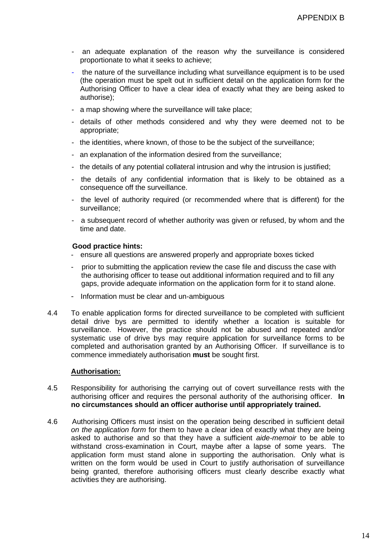- an adequate explanation of the reason why the surveillance is considered proportionate to what it seeks to achieve;
- the nature of the surveillance including what surveillance equipment is to be used (the operation must be spelt out in sufficient detail on the application form for the Authorising Officer to have a clear idea of exactly what they are being asked to authorise);
- a map showing where the surveillance will take place;
- details of other methods considered and why they were deemed not to be appropriate;
- the identities, where known, of those to be the subject of the surveillance;
- an explanation of the information desired from the surveillance;
- the details of any potential collateral intrusion and why the intrusion is justified;
- the details of any confidential information that is likely to be obtained as a consequence off the surveillance.
- the level of authority required (or recommended where that is different) for the surveillance;
- a subsequent record of whether authority was given or refused, by whom and the time and date.

## **Good practice hints:**

- ensure all questions are answered properly and appropriate boxes ticked
- prior to submitting the application review the case file and discuss the case with the authorising officer to tease out additional information required and to fill any gaps, provide adequate information on the application form for it to stand alone.
- Information must be clear and un-ambiguous
- 4.4 To enable application forms for directed surveillance to be completed with sufficient detail drive bys are permitted to identify whether a location is suitable for surveillance. However, the practice should not be abused and repeated and/or systematic use of drive bys may require application for surveillance forms to be completed and authorisation granted by an Authorising Officer. If surveillance is to commence immediately authorisation **must** be sought first.

# **Authorisation:**

- 4.5 Responsibility for authorising the carrying out of covert surveillance rests with the authorising officer and requires the personal authority of the authorising officer. **In no circumstances should an officer authorise until appropriately trained.**
- 4.6 Authorising Officers must insist on the operation being described in sufficient detail *on the application form* for them to have a clear idea of exactly what they are being asked to authorise and so that they have a sufficient *aide-memoir* to be able to withstand cross-examination in Court, maybe after a lapse of some years. The application form must stand alone in supporting the authorisation. Only what is written on the form would be used in Court to justify authorisation of surveillance being granted, therefore authorising officers must clearly describe exactly what activities they are authorising.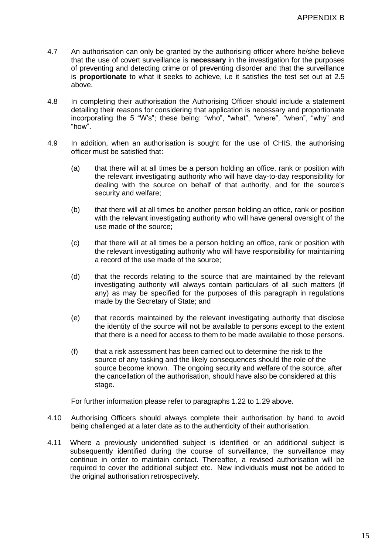- 4.7 An authorisation can only be granted by the authorising officer where he/she believe that the use of covert surveillance is **necessary** in the investigation for the purposes of preventing and detecting crime or of preventing disorder and that the surveillance is **proportionate** to what it seeks to achieve, i.e it satisfies the test set out at 2.5 above.
- 4.8 In completing their authorisation the Authorising Officer should include a statement detailing their reasons for considering that application is necessary and proportionate incorporating the 5 "W's"; these being: "who", "what", "where", "when", "why" and "how".
- 4.9 In addition, when an authorisation is sought for the use of CHIS, the authorising officer must be satisfied that:
	- (a) that there will at all times be a person holding an office, rank or position with the relevant investigating authority who will have day-to-day responsibility for dealing with the source on behalf of that authority, and for the source's security and welfare;
	- (b) that there will at all times be another person holding an office, rank or position with the relevant investigating authority who will have general oversight of the use made of the source;
	- (c) that there will at all times be a person holding an office, rank or position with the relevant investigating authority who will have responsibility for maintaining a record of the use made of the source;
	- (d) that the records relating to the source that are maintained by the relevant investigating authority will always contain particulars of all such matters (if any) as may be specified for the purposes of this paragraph in regulations made by the Secretary of State; and
	- (e) that records maintained by the relevant investigating authority that disclose the identity of the source will not be available to persons except to the extent that there is a need for access to them to be made available to those persons.
	- (f) that a risk assessment has been carried out to determine the risk to the source of any tasking and the likely consequences should the role of the source become known. The ongoing security and welfare of the source, after the cancellation of the authorisation, should have also be considered at this stage.

For further information please refer to paragraphs 1.22 to 1.29 above.

- 4.10 Authorising Officers should always complete their authorisation by hand to avoid being challenged at a later date as to the authenticity of their authorisation.
- 4.11 Where a previously unidentified subject is identified or an additional subject is subsequently identified during the course of surveillance, the surveillance may continue in order to maintain contact. Thereafter, a revised authorisation will be required to cover the additional subject etc. New individuals **must not** be added to the original authorisation retrospectively*.*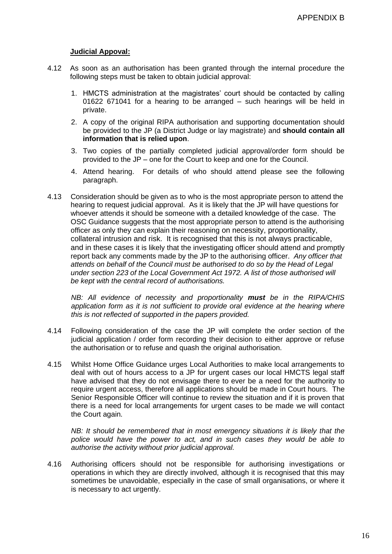# **Judicial Appoval:**

- 4.12 As soon as an authorisation has been granted through the internal procedure the following steps must be taken to obtain judicial approval:
	- 1. HMCTS administration at the magistrates' court should be contacted by calling 01622 671041 for a hearing to be arranged – such hearings will be held in private.
	- 2. A copy of the original RIPA authorisation and supporting documentation should be provided to the JP (a District Judge or lay magistrate) and **should contain all information that is relied upon**.
	- 3. Two copies of the partially completed judicial approval/order form should be provided to the JP – one for the Court to keep and one for the Council.
	- 4. Attend hearing. For details of who should attend please see the following paragraph.
- 4.13 Consideration should be given as to who is the most appropriate person to attend the hearing to request judicial approval. As it is likely that the JP will have questions for whoever attends it should be someone with a detailed knowledge of the case. The OSC Guidance suggests that the most appropriate person to attend is the authorising officer as only they can explain their reasoning on necessity, proportionality, collateral intrusion and risk. It is recognised that this is not always practicable, and in these cases it is likely that the investigating officer should attend and promptly report back any comments made by the JP to the authorising officer. *Any officer that attends on behalf of the Council must be authorised to do so by the Head of Legal under section 223 of the Local Government Act 1972. A list of those authorised will be kept with the central record of authorisations.*

*NB: All evidence of necessity and proportionality must be in the RIPA/CHIS application form as it is not sufficient to provide oral evidence at the hearing where this is not reflected of supported in the papers provided.*

- 4.14 Following consideration of the case the JP will complete the order section of the judicial application / order form recording their decision to either approve or refuse the authorisation or to refuse and quash the original authorisation.
- 4.15 Whilst Home Office Guidance urges Local Authorities to make local arrangements to deal with out of hours access to a JP for urgent cases our local HMCTS legal staff have advised that they do not envisage there to ever be a need for the authority to require urgent access, therefore all applications should be made in Court hours. The Senior Responsible Officer will continue to review the situation and if it is proven that there is a need for local arrangements for urgent cases to be made we will contact the Court again.

*NB: It should be remembered that in most emergency situations it is likely that the police would have the power to act, and in such cases they would be able to authorise the activity without prior judicial approval.*

4.16 Authorising officers should not be responsible for authorising investigations or operations in which they are directly involved, although it is recognised that this may sometimes be unavoidable, especially in the case of small organisations, or where it is necessary to act urgently.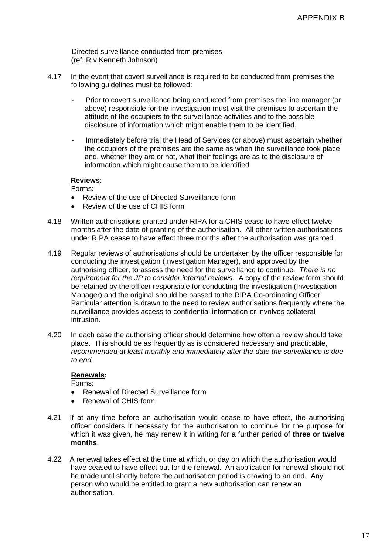Directed surveillance conducted from premises (ref: R v Kenneth Johnson)

- 4.17 In the event that covert surveillance is required to be conducted from premises the following guidelines must be followed:
	- Prior to covert surveillance being conducted from premises the line manager (or above) responsible for the investigation must visit the premises to ascertain the attitude of the occupiers to the surveillance activities and to the possible disclosure of information which might enable them to be identified.
	- Immediately before trial the Head of Services (or above) must ascertain whether the occupiers of the premises are the same as when the surveillance took place and, whether they are or not, what their feelings are as to the disclosure of information which might cause them to be identified.

# **Reviews**:

Forms:

- Review of the use of Directed Surveillance form
- Review of the use of CHIS form
- 4.18 Written authorisations granted under RIPA for a CHIS cease to have effect twelve months after the date of granting of the authorisation. All other written authorisations under RIPA cease to have effect three months after the authorisation was granted.
- 4.19 Regular reviews of authorisations should be undertaken by the officer responsible for conducting the investigation (Investigation Manager), and approved by the authorising officer, to assess the need for the surveillance to continue. *There is no requirement for the JP to consider internal reviews.* A copy of the review form should be retained by the officer responsible for conducting the investigation (Investigation Manager) and the original should be passed to the RIPA Co-ordinating Officer. Particular attention is drawn to the need to review authorisations frequently where the surveillance provides access to confidential information or involves collateral intrusion.
- 4.20 In each case the authorising officer should determine how often a review should take place. This should be as frequently as is considered necessary and practicable, *recommended at least monthly and immediately after the date the surveillance is due to end.*

# **Renewals:**

Forms:

- Renewal of Directed Surveillance form
- Renewal of CHIS form
- 4.21 If at any time before an authorisation would cease to have effect, the authorising officer considers it necessary for the authorisation to continue for the purpose for which it was given, he may renew it in writing for a further period of **three or twelve months**.
- 4.22 A renewal takes effect at the time at which, or day on which the authorisation would have ceased to have effect but for the renewal. An application for renewal should not be made until shortly before the authorisation period is drawing to an end. Any person who would be entitled to grant a new authorisation can renew an authorisation.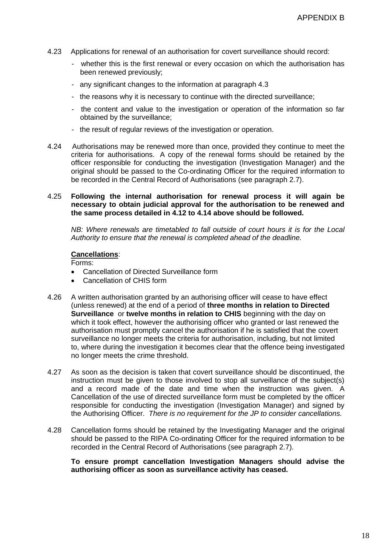- 4.23 Applications for renewal of an authorisation for covert surveillance should record:
	- whether this is the first renewal or every occasion on which the authorisation has been renewed previously;
	- any significant changes to the information at paragraph 4.3
	- the reasons why it is necessary to continue with the directed surveillance;
	- the content and value to the investigation or operation of the information so far obtained by the surveillance;
	- the result of regular reviews of the investigation or operation.
- 4.24 Authorisations may be renewed more than once, provided they continue to meet the criteria for authorisations. A copy of the renewal forms should be retained by the officer responsible for conducting the investigation (Investigation Manager) and the original should be passed to the Co-ordinating Officer for the required information to be recorded in the Central Record of Authorisations (see paragraph 2.7).

# 4.25 **Following the internal authorisation for renewal process it will again be necessary to obtain judicial approval for the authorisation to be renewed and the same process detailed in 4.12 to 4.14 above should be followed.**

*NB: Where renewals are timetabled to fall outside of court hours it is for the Local Authority to ensure that the renewal is completed ahead of the deadline.*

#### **Cancellations**:

Forms:

- Cancellation of Directed Surveillance form
- Cancellation of CHIS form
- 4.26 A written authorisation granted by an authorising officer will cease to have effect (unless renewed) at the end of a period of **three months in relation to Directed Surveillance** or **twelve months in relation to CHIS** beginning with the day on which it took effect, however the authorising officer who granted or last renewed the authorisation must promptly cancel the authorisation if he is satisfied that the covert surveillance no longer meets the criteria for authorisation, including, but not limited to, where during the investigation it becomes clear that the offence being investigated no longer meets the crime threshold.
- 4.27 As soon as the decision is taken that covert surveillance should be discontinued, the instruction must be given to those involved to stop all surveillance of the subject(s) and a record made of the date and time when the instruction was given. A Cancellation of the use of directed surveillance form must be completed by the officer responsible for conducting the investigation (Investigation Manager) and signed by the Authorising Officer. *There is no requirement for the JP to consider cancellations.*
- 4.28 Cancellation forms should be retained by the Investigating Manager and the original should be passed to the RIPA Co-ordinating Officer for the required information to be recorded in the Central Record of Authorisations (see paragraph 2.7).

**To ensure prompt cancellation Investigation Managers should advise the authorising officer as soon as surveillance activity has ceased.**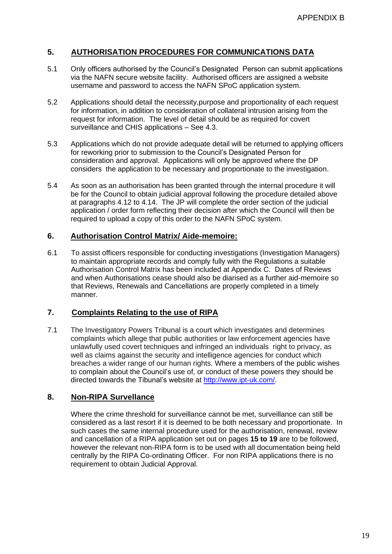# **5. AUTHORISATION PROCEDURES FOR COMMUNICATIONS DATA**

- 5.1 Only officers authorised by the Council's Designated Person can submit applications via the NAFN secure website facility. Authorised officers are assigned a website username and password to access the NAFN SPoC application system.
- 5.2 Applications should detail the necessity,purpose and proportionality of each request for information, in addition to consideration of collateral intrusion arising from the request for information. The level of detail should be as required for covert surveillance and CHIS applications – See 4.3.
- 5.3 Applications which do not provide adequate detail will be returned to applying officers for reworking prior to submission to the Council's Designated Person for consideration and approval. Applications will only be approved where the DP considers the application to be necessary and proportionate to the investigation.
- 5.4 As soon as an authorisation has been granted through the internal procedure it will be for the Council to obtain judicial approval following the procedure detailed above at paragraphs 4.12 to 4.14. The JP will complete the order section of the judicial application / order form reflecting their decision after which the Council will then be required to upload a copy of this order to the NAFN SPoC system.

# **6. Authorisation Control Matrix/ Aide-memoire:**

6.1 To assist officers responsible for conducting investigations (Investigation Managers) to maintain appropriate records and comply fully with the Regulations a suitable Authorisation Control Matrix has been included at Appendix C. Dates of Reviews and when Authorisations cease should also be diarised as a further aid-memoire so that Reviews, Renewals and Cancellations are properly completed in a timely manner.

# **7. Complaints Relating to the use of RIPA**

7.1 The Investigatory Powers Tribunal is a court which investigates and determines complaints which allege that public authorities or law enforcement agencies have unlawfully used covert techniques and infringed an individuals right to privacy, as well as claims against the security and intelligence agencies for conduct which breaches a wider range of our human rights. Where a members of the public wishes to complain about the Council's use of, or conduct of these powers they should be directed towards the Tibunal's website at [http://www.ipt-uk.com/.](http://www.ipt-uk.com/)

# **8. Non-RIPA Survellance**

Where the crime threshold for surveillance cannot be met, surveillance can still be considered as a last resort if it is deemed to be both necessary and proportionate. In such cases the same internal procedure used for the authorisation, renewal, review and cancellation of a RIPA application set out on pages **15 to 19** are to be followed, however the relevant non-RIPA form is to be used with all documentation being held centrally by the RIPA Co-ordinating Officer. For non RIPA applications there is no requirement to obtain Judicial Approval.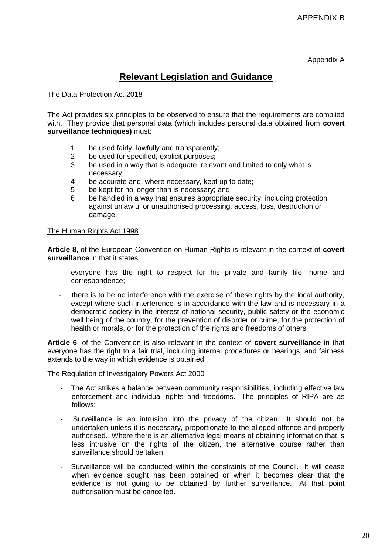Appendix A

# **Relevant Legislation and Guidance**

# The Data Protection Act 2018

The Act provides six principles to be observed to ensure that the requirements are complied with. They provide that personal data (which includes personal data obtained from **covert surveillance techniques)** must:

- 1 be used fairly, lawfully and transparently;<br>2 be used for specified, explicit purposes:
- be used for specified, explicit purposes;
- 3 be used in a way that is adequate, relevant and limited to only what is necessary;
- 4 be accurate and, where necessary, kept up to date;
- 5 be kept for no longer than is necessary; and
- 6 be handled in a way that ensures appropriate security, including protection against unlawful or unauthorised processing, access, loss, destruction or damage.

## The Human Rights Act 1998

**Article 8**, of the European Convention on Human Rights is relevant in the context of **covert surveillance** in that it states:

- everyone has the right to respect for his private and family life, home and correspondence;
- there is to be no interference with the exercise of these rights by the local authority, except where such interference is in accordance with the law and is necessary in a democratic society in the interest of national security, public safety or the economic well being of the country, for the prevention of disorder or crime, for the protection of health or morals, or for the protection of the rights and freedoms of others

**Article 6**, of the Convention is also relevant in the context of **covert surveillance** in that everyone has the right to a fair trial, including internal procedures or hearings, and fairness extends to the way in which evidence is obtained.

The Regulation of Investigatory Powers Act 2000

- The Act strikes a balance between community responsibilities, including effective law enforcement and individual rights and freedoms. The principles of RIPA are as follows:
- Surveillance is an intrusion into the privacy of the citizen. It should not be undertaken unless it is necessary, proportionate to the alleged offence and properly authorised. Where there is an alternative legal means of obtaining information that is less intrusive on the rights of the citizen, the alternative course rather than surveillance should be taken.
- Surveillance will be conducted within the constraints of the Council. It will cease when evidence sought has been obtained or when it becomes clear that the evidence is not going to be obtained by further surveillance. At that point authorisation must be cancelled.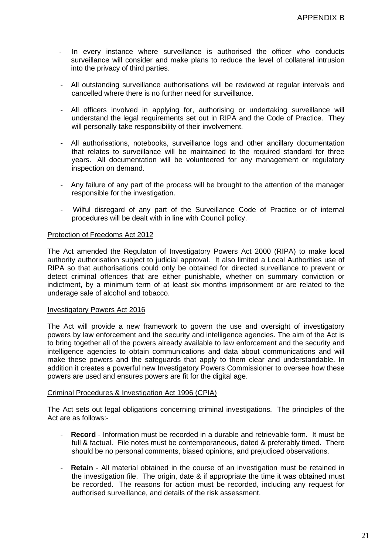- In every instance where surveillance is authorised the officer who conducts surveillance will consider and make plans to reduce the level of collateral intrusion into the privacy of third parties.
- All outstanding surveillance authorisations will be reviewed at regular intervals and cancelled where there is no further need for surveillance.
- All officers involved in applying for, authorising or undertaking surveillance will understand the legal requirements set out in RIPA and the Code of Practice. They will personally take responsibility of their involvement.
- All authorisations, notebooks, surveillance logs and other ancillary documentation that relates to surveillance will be maintained to the required standard for three years. All documentation will be volunteered for any management or regulatory inspection on demand.
- Any failure of any part of the process will be brought to the attention of the manager responsible for the investigation.
- Wilful disregard of any part of the Surveillance Code of Practice or of internal procedures will be dealt with in line with Council policy.

# Protection of Freedoms Act 2012

The Act amended the Regulaton of Investigatory Powers Act 2000 (RIPA) to make local authority authorisation subject to judicial approval. It also limited a Local Authorities use of RIPA so that authorisations could only be obtained for directed surveillance to prevent or detect criminal offences that are either punishable, whether on summary conviction or indictment, by a minimum term of at least six months imprisonment or are related to the underage sale of alcohol and tobacco.

## Investigatory Powers Act 2016

The Act will provide a new framework to govern the use and oversight of investigatory powers by law enforcement and the security and intelligence agencies. The aim of the Act is to bring together all of the powers already available to law enforcement and the security and intelligence agencies to obtain communications and data about communications and will make these powers and the safeguards that apply to them clear and understandable. In addition it creates a powerful new Investigatory Powers Commissioner to oversee how these powers are used and ensures powers are fit for the digital age.

## Criminal Procedures & Investigation Act 1996 (CPIA)

The Act sets out legal obligations concerning criminal investigations. The principles of the Act are as follows:-

- **Record** Information must be recorded in a durable and retrievable form. It must be full & factual. File notes must be contemporaneous, dated & preferably timed. There should be no personal comments, biased opinions, and prejudiced observations.
- **Retain** All material obtained in the course of an investigation must be retained in the investigation file. The origin, date & if appropriate the time it was obtained must be recorded. The reasons for action must be recorded, including any request for authorised surveillance, and details of the risk assessment.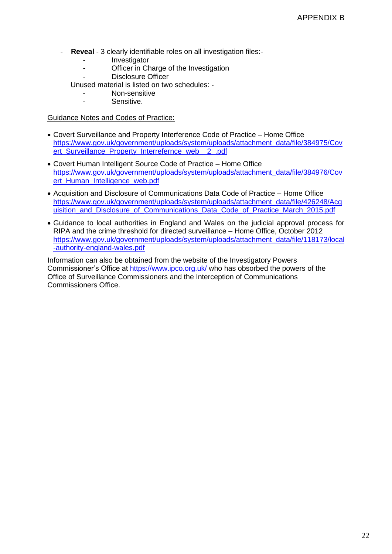- **Reveal** 3 clearly identifiable roles on all investigation files:-
	- Investigator
	- Officer in Charge of the Investigation
	- Disclosure Officer
	- Unused material is listed on two schedules:
		- Non-sensitive
		- Sensitive.

Guidance Notes and Codes of Practice:

- Covert Surveillance and Property Interference Code of Practice Home Office [https://www.gov.uk/government/uploads/system/uploads/attachment\\_data/file/384975/Cov](https://www.gov.uk/government/uploads/system/uploads/attachment_data/file/384975/Covert_Surveillance_Property_Interrefernce_web__2_.pdf) [ert\\_Surveillance\\_Property\\_Interrefernce\\_web\\_\\_2\\_.pdf](https://www.gov.uk/government/uploads/system/uploads/attachment_data/file/384975/Covert_Surveillance_Property_Interrefernce_web__2_.pdf)
- Covert Human Intelligent Source Code of Practice Home Office [https://www.gov.uk/government/uploads/system/uploads/attachment\\_data/file/384976/Cov](https://www.gov.uk/government/uploads/system/uploads/attachment_data/file/384976/Covert_Human_Intelligence_web.pdf) [ert\\_Human\\_Intelligence\\_web.pdf](https://www.gov.uk/government/uploads/system/uploads/attachment_data/file/384976/Covert_Human_Intelligence_web.pdf)
- Acquisition and Disclosure of Communications Data Code of Practice Home Office [https://www.gov.uk/government/uploads/system/uploads/attachment\\_data/file/426248/Acq](https://www.gov.uk/government/uploads/system/uploads/attachment_data/file/426248/Acquisition_and_Disclosure_of_Communications_Data_Code_of_Practice_March_2015.pdf) uisition and Disclosure of Communications Data Code of Practice March 2015.pdf
- Guidance to local authorities in England and Wales on the judicial approval process for RIPA and the crime threshold for directed surveillance – Home Office, October 2012 [https://www.gov.uk/government/uploads/system/uploads/attachment\\_data/file/118173/local](https://www.gov.uk/government/uploads/system/uploads/attachment_data/file/118173/local-authority-england-wales.pdf) [-authority-england-wales.pdf](https://www.gov.uk/government/uploads/system/uploads/attachment_data/file/118173/local-authority-england-wales.pdf)

Information can also be obtained from the website of the Investigatory Powers Commissioner's Office at<https://www.ipco.org.uk/> who has obsorbed the powers of the Office of Surveillance Commissioners and the Interception of Communications Commissioners Office.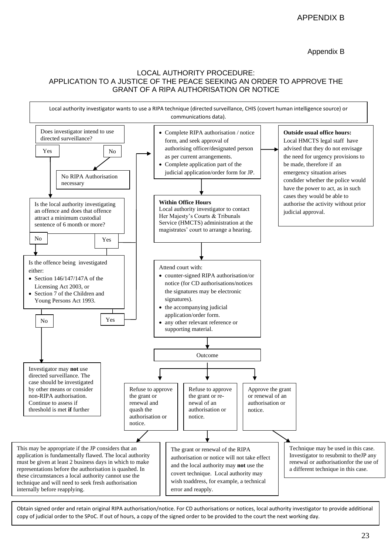# LOCAL AUTHORITY PROCEDURE: APPLICATION TO A JUSTICE OF THE PEACE SEEKING AN ORDER TO APPROVE THE GRANT OF A RIPA AUTHORISATION OR NOTICE



Obtain signed order and retain original RIPA authorisation/notice. For CD authorisations or notices, local authority investigator to provide additional copy of judicial order to the SPoC. If out of hours, a copy of the signed order to be provided to the court the next working day.